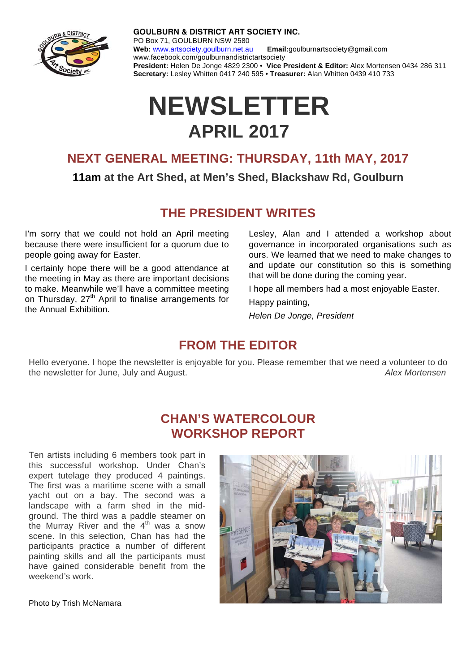

**GOULBURN & DISTRICT ART SOCIETY INC.** PO Box 71, GOULBURN NSW 2580 **Web:** www.artsociety.goulburn.net.au **Email:**goulburnartsociety@gmail.com www.facebook.com/goulburnandistrictartsociety **President:** Helen De Jonge 4829 2300 • **Vice President & Editor:** Alex Mortensen 0434 286 311 **Secretary:** Lesley Whitten 0417 240 595 • **Treasurer:** Alan Whitten 0439 410 733

# **NEWSLETTER APRIL 2017**

### **NEXT GENERAL MEETING: THURSDAY, 11th MAY, 2017**

#### **11am at the Art Shed, at Men's Shed, Blackshaw Rd, Goulburn**

## **THE PRESIDENT WRITES**

I'm sorry that we could not hold an April meeting because there were insufficient for a quorum due to people going away for Easter.

I certainly hope there will be a good attendance at the meeting in May as there are important decisions to make. Meanwhile we'll have a committee meeting on Thursday, 27<sup>th</sup> April to finalise arrangements for the Annual Exhibition.

Lesley, Alan and I attended a workshop about governance in incorporated organisations such as ours. We learned that we need to make changes to and update our constitution so this is something that will be done during the coming year.

I hope all members had a most enjoyable Easter.

Happy painting,

*Helen De Jonge, President* 

#### **FROM THE EDITOR**

Hello everyone. I hope the newsletter is enjoyable for you. Please remember that we need a volunteer to do the newsletter for June, July and August. *Alex Mortensen* 

## **CHAN'S WATERCOLOUR WORKSHOP REPORT**

Ten artists including 6 members took part in this successful workshop. Under Chan's expert tutelage they produced 4 paintings. The first was a maritime scene with a small yacht out on a bay. The second was a landscape with a farm shed in the midground. The third was a paddle steamer on the Murray River and the  $4<sup>th</sup>$  was a snow scene. In this selection, Chan has had the participants practice a number of different painting skills and all the participants must have gained considerable benefit from the weekend's work.



Photo by Trish McNamara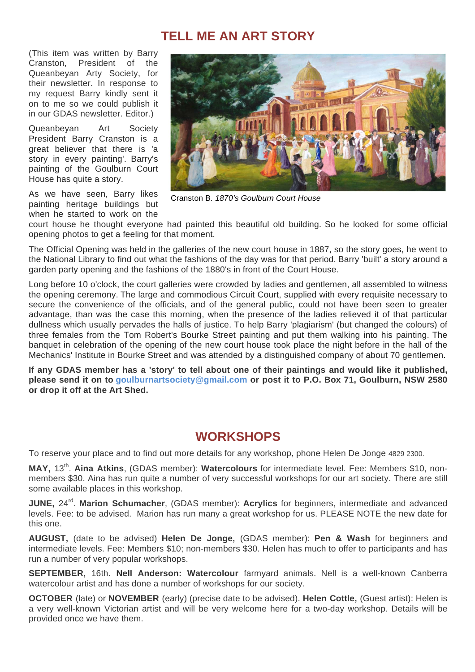#### **TELL ME AN ART STORY**

(This item was written by Barry Cranston, President of the Queanbeyan Arty Society, for their newsletter. In response to my request Barry kindly sent it on to me so we could publish it in our GDAS newsletter. Editor.)

Queanbeyan Art Society President Barry Cranston is a great believer that there is 'a story in every painting'. Barry's painting of the Goulburn Court House has quite a story.

As we have seen, Barry likes painting heritage buildings but when he started to work on the



Cranston B. *1870's Goulburn Court House*

court house he thought everyone had painted this beautiful old building. So he looked for some official opening photos to get a feeling for that moment.

The Official Opening was held in the galleries of the new court house in 1887, so the story goes, he went to the National Library to find out what the fashions of the day was for that period. Barry 'built' a story around a garden party opening and the fashions of the 1880's in front of the Court House.

Long before 10 o'clock, the court galleries were crowded by ladies and gentlemen, all assembled to witness the opening ceremony. The large and commodious Circuit Court, supplied with every requisite necessary to secure the convenience of the officials, and of the general public, could not have been seen to greater advantage, than was the case this morning, when the presence of the ladies relieved it of that particular dullness which usually pervades the halls of justice. To help Barry 'plagiarism' (but changed the colours) of three females from the Tom Robert's Bourke Street painting and put them walking into his painting. The banquet in celebration of the opening of the new court house took place the night before in the hall of the Mechanics' Institute in Bourke Street and was attended by a distinguished company of about 70 gentlemen.

**If any GDAS member has a 'story' to tell about one of their paintings and would like it published, please send it on to goulburnartsociety@gmail.com or post it to P.O. Box 71, Goulburn, NSW 2580 or drop it off at the Art Shed.** 

## **WORKSHOPS**

To reserve your place and to find out more details for any workshop, phone Helen De Jonge 4829 2300.

**MAY,** 13th. **Aina Atkins**, (GDAS member): **Watercolours** for intermediate level. Fee: Members \$10, nonmembers \$30. Aina has run quite a number of very successful workshops for our art society. There are still some available places in this workshop.

**JUNE, 24<sup>rd</sup>. Marion Schumacher, (GDAS member): Acrylics for beginners, intermediate and advanced** levels. Fee: to be advised. Marion has run many a great workshop for us. PLEASE NOTE the new date for this one.

**AUGUST,** (date to be advised) **Helen De Jonge,** (GDAS member): **Pen & Wash** for beginners and intermediate levels. Fee: Members \$10; non-members \$30. Helen has much to offer to participants and has run a number of very popular workshops.

**SEPTEMBER,** 16th**. Nell Anderson: Watercolour** farmyard animals. Nell is a well-known Canberra watercolour artist and has done a number of workshops for our society.

**OCTOBER** (late) or **NOVEMBER** (early) (precise date to be advised). **Helen Cottle,** (Guest artist): Helen is a very well-known Victorian artist and will be very welcome here for a two-day workshop. Details will be provided once we have them.